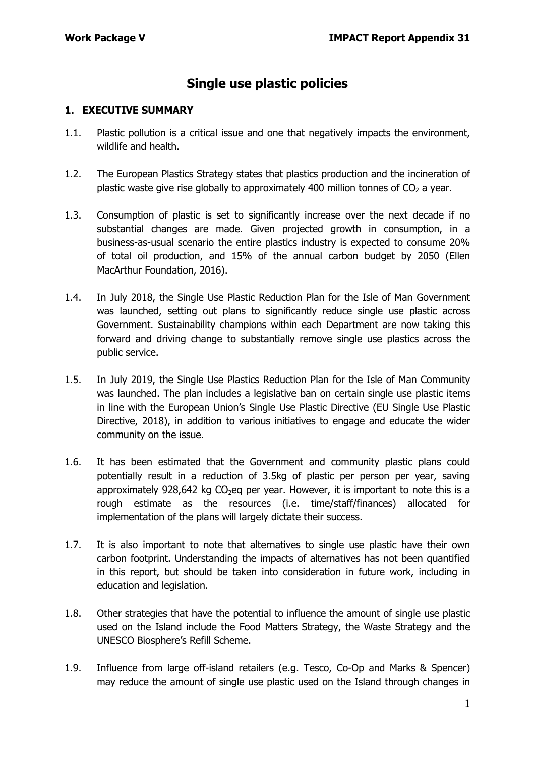## **Single use plastic policies**

#### **1. EXECUTIVE SUMMARY**

- 1.1. Plastic pollution is a critical issue and one that negatively impacts the environment, wildlife and health.
- 1.2. The European Plastics Strategy states that plastics production and the incineration of plastic waste give rise globally to approximately 400 million tonnes of  $CO<sub>2</sub>$  a year.
- 1.3. Consumption of plastic is set to significantly increase over the next decade if no substantial changes are made. Given projected growth in consumption, in a business-as-usual scenario the entire plastics industry is expected to consume 20% of total oil production, and 15% of the annual carbon budget by 2050 (Ellen MacArthur Foundation, 2016).
- 1.4. In July 2018, the Single Use Plastic Reduction Plan for the Isle of Man Government was launched, setting out plans to significantly reduce single use plastic across Government. Sustainability champions within each Department are now taking this forward and driving change to substantially remove single use plastics across the public service.
- 1.5. In July 2019, the Single Use Plastics Reduction Plan for the Isle of Man Community was launched. The plan includes a legislative ban on certain single use plastic items in line with the European Union's Single Use Plastic Directive (EU Single Use Plastic Directive, 2018), in addition to various initiatives to engage and educate the wider community on the issue.
- 1.6. It has been estimated that the Government and community plastic plans could potentially result in a reduction of 3.5kg of plastic per person per year, saving approximately 928,642 kg  $CO<sub>2</sub>$ eq per year. However, it is important to note this is a rough estimate as the resources (i.e. time/staff/finances) allocated for implementation of the plans will largely dictate their success.
- 1.7. It is also important to note that alternatives to single use plastic have their own carbon footprint. Understanding the impacts of alternatives has not been quantified in this report, but should be taken into consideration in future work, including in education and legislation.
- 1.8. Other strategies that have the potential to influence the amount of single use plastic used on the Island include the Food Matters Strategy, the Waste Strategy and the UNESCO Biosphere's Refill Scheme.
- 1.9. Influence from large off-island retailers (e.g. Tesco, Co-Op and Marks & Spencer) may reduce the amount of single use plastic used on the Island through changes in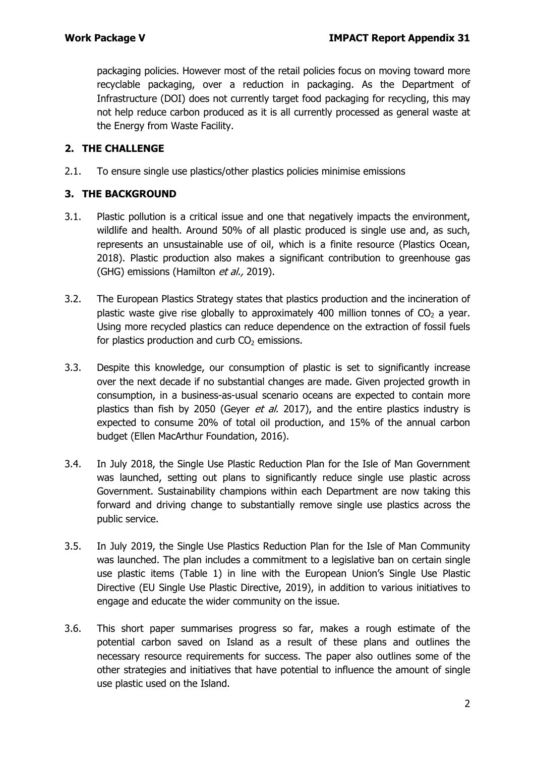packaging policies. However most of the retail policies focus on moving toward more recyclable packaging, over a reduction in packaging. As the Department of Infrastructure (DOI) does not currently target food packaging for recycling, this may not help reduce carbon produced as it is all currently processed as general waste at the Energy from Waste Facility.

#### **2. THE CHALLENGE**

2.1. To ensure single use plastics/other plastics policies minimise emissions

#### **3. THE BACKGROUND**

- 3.1. Plastic pollution is a critical issue and one that negatively impacts the environment, wildlife and health. Around 50% of all plastic produced is single use and, as such, represents an unsustainable use of oil, which is a finite resource (Plastics Ocean, 2018). Plastic production also makes a significant contribution to greenhouse gas (GHG) emissions (Hamilton et al., 2019).
- 3.2. The European Plastics Strategy states that plastics production and the incineration of plastic waste give rise globally to approximately 400 million tonnes of  $CO<sub>2</sub>$  a year. Using more recycled plastics can reduce dependence on the extraction of fossil fuels for plastics production and curb  $CO<sub>2</sub>$  emissions.
- 3.3. Despite this knowledge, our consumption of plastic is set to significantly increase over the next decade if no substantial changes are made. Given projected growth in consumption, in a business-as-usual scenario oceans are expected to contain more plastics than fish by 2050 (Geyer et al. 2017), and the entire plastics industry is expected to consume 20% of total oil production, and 15% of the annual carbon budget (Ellen MacArthur Foundation, 2016).
- 3.4. In July 2018, the Single Use Plastic Reduction Plan for the Isle of Man Government was launched, setting out plans to significantly reduce single use plastic across Government. Sustainability champions within each Department are now taking this forward and driving change to substantially remove single use plastics across the public service.
- 3.5. In July 2019, the Single Use Plastics Reduction Plan for the Isle of Man Community was launched. The plan includes a commitment to a legislative ban on certain single use plastic items (Table 1) in line with the European Union's Single Use Plastic Directive (EU Single Use Plastic Directive, 2019), in addition to various initiatives to engage and educate the wider community on the issue.
- 3.6. This short paper summarises progress so far, makes a rough estimate of the potential carbon saved on Island as a result of these plans and outlines the necessary resource requirements for success. The paper also outlines some of the other strategies and initiatives that have potential to influence the amount of single use plastic used on the Island.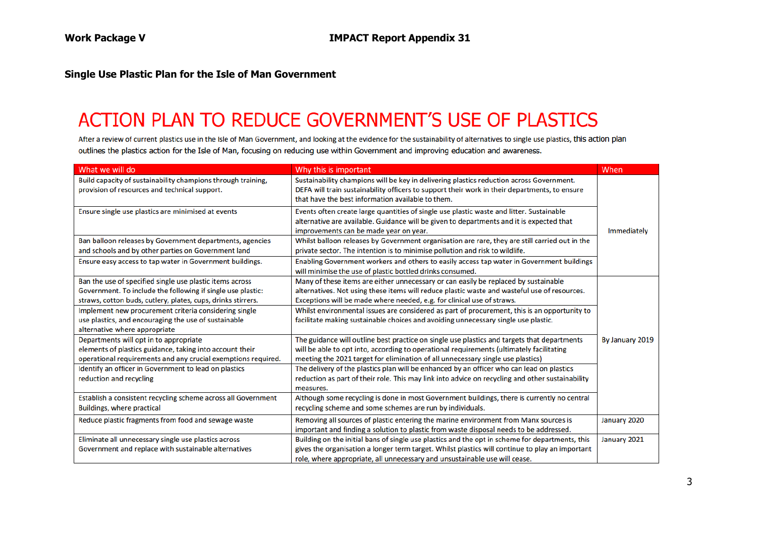#### **Single Use Plastic Plan for the Isle of Man Government**

# ACTION PLAN TO REDUCE GOVERNMENT'S USE OF PLASTICS

After a review of current plastics use in the Isle of Man Government, and looking at the evidence for the sustainability of alternatives to single use plastics, this action plan outlines the plastics action for the Isle of Man, focusing on reducing use within Government and improving education and awareness.

| What we will do                                                                                               | Why this is important                                                                                                                                                                                                                          | When            |
|---------------------------------------------------------------------------------------------------------------|------------------------------------------------------------------------------------------------------------------------------------------------------------------------------------------------------------------------------------------------|-----------------|
| Build capacity of sustainability champions through training,<br>provision of resources and technical support. | Sustainability champions will be key in delivering plastics reduction across Government.<br>DEFA will train sustainability officers to support their work in their departments, to ensure<br>that have the best information available to them. |                 |
| Ensure single use plastics are minimised at events                                                            | Events often create large quantities of single use plastic waste and litter. Sustainable<br>alternative are available. Guidance will be given to departments and it is expected that<br>improvements can be made year on year.                 | Immediately     |
| Ban balloon releases by Government departments, agencies                                                      | Whilst balloon releases by Government organisation are rare, they are still carried out in the                                                                                                                                                 |                 |
| and schools and by other parties on Government land                                                           | private sector. The intention is to minimise pollution and risk to wildlife.                                                                                                                                                                   |                 |
| Ensure easy access to tap water in Government buildings.                                                      | Enabling Government workers and others to easily access tap water in Government buildings                                                                                                                                                      |                 |
|                                                                                                               | will minimise the use of plastic bottled drinks consumed.                                                                                                                                                                                      |                 |
| Ban the use of specified single use plastic items across                                                      | Many of these items are either unnecessary or can easily be replaced by sustainable                                                                                                                                                            |                 |
| Government. To include the following if single use plastic:                                                   | alternatives. Not using these items will reduce plastic waste and wasteful use of resources.                                                                                                                                                   |                 |
| straws, cotton buds, cutlery, plates, cups, drinks stirrers.                                                  | Exceptions will be made where needed, e.g. for clinical use of straws.                                                                                                                                                                         |                 |
| Implement new procurement criteria considering single                                                         | Whilst environmental issues are considered as part of procurement, this is an opportunity to                                                                                                                                                   |                 |
| use plastics, and encouraging the use of sustainable                                                          | facilitate making sustainable choices and avoiding unnecessary single use plastic.                                                                                                                                                             |                 |
| alternative where appropriate                                                                                 |                                                                                                                                                                                                                                                |                 |
| Departments will opt in to appropriate                                                                        | The guidance will outline best practice on single use plastics and targets that departments                                                                                                                                                    | By January 2019 |
| elements of plastics guidance, taking into account their                                                      | will be able to opt into, according to operational requirements (ultimately facilitating                                                                                                                                                       |                 |
| operational requirements and any crucial exemptions required.                                                 | meeting the 2021 target for elimination of all unnecessary single use plastics)                                                                                                                                                                |                 |
| Identify an officer in Government to lead on plastics                                                         | The delivery of the plastics plan will be enhanced by an officer who can lead on plastics                                                                                                                                                      |                 |
| reduction and recycling                                                                                       | reduction as part of their role. This may link into advice on recycling and other sustainability                                                                                                                                               |                 |
|                                                                                                               | measures.                                                                                                                                                                                                                                      |                 |
| Establish a consistent recycling scheme across all Government                                                 | Although some recycling is done in most Government buildings, there is currently no central                                                                                                                                                    |                 |
| Buildings, where practical                                                                                    | recycling scheme and some schemes are run by individuals.                                                                                                                                                                                      |                 |
| Reduce plastic fragments from food and sewage waste                                                           | Removing all sources of plastic entering the marine environment from Manx sources is                                                                                                                                                           | January 2020    |
|                                                                                                               | important and finding a solution to plastic from waste disposal needs to be addressed.                                                                                                                                                         |                 |
| Eliminate all unnecessary single use plastics across                                                          | Building on the initial bans of single use plastics and the opt in scheme for departments, this                                                                                                                                                | January 2021    |
| Government and replace with sustainable alternatives                                                          | gives the organisation a longer term target. Whilst plastics will continue to play an important                                                                                                                                                |                 |
|                                                                                                               | role, where appropriate, all unnecessary and unsustainable use will cease.                                                                                                                                                                     |                 |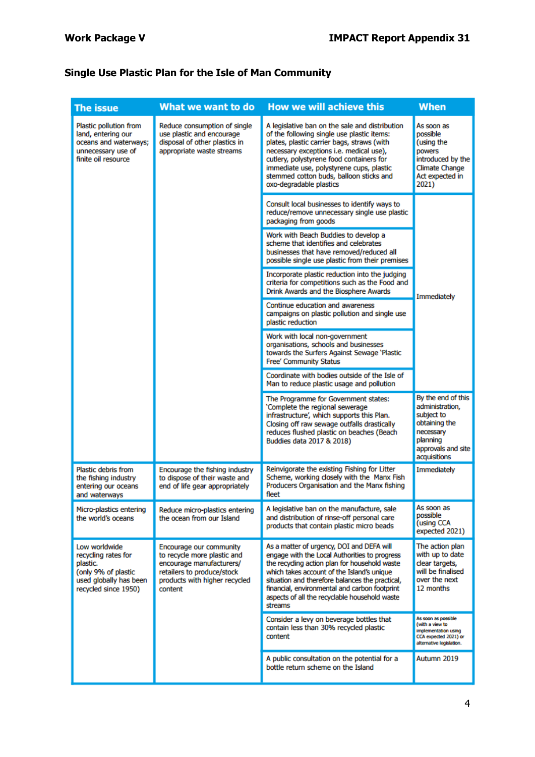# **Single Use Plastic Plan for the Isle of Man Community**

| <b>The issue</b>                                                                                                          | What we want to do                                                                                                                                           | <b>How we will achieve this</b>                                                                                                                                                                                                                                                                                                                          | <b>When</b>                                                                                                                         |  |
|---------------------------------------------------------------------------------------------------------------------------|--------------------------------------------------------------------------------------------------------------------------------------------------------------|----------------------------------------------------------------------------------------------------------------------------------------------------------------------------------------------------------------------------------------------------------------------------------------------------------------------------------------------------------|-------------------------------------------------------------------------------------------------------------------------------------|--|
| Plastic pollution from<br>land, entering our<br>oceans and waterways;<br>unnecessary use of<br>finite oil resource        | Reduce consumption of single<br>use plastic and encourage<br>disposal of other plastics in<br>appropriate waste streams                                      | A legislative ban on the sale and distribution<br>of the following single use plastic items:<br>plates, plastic carrier bags, straws (with<br>necessary exceptions i.e. medical use),<br>cutlery, polystyrene food containers for<br>immediate use, polystyrene cups, plastic<br>stemmed cotton buds, balloon sticks and<br>oxo-degradable plastics      | As soon as<br>possible<br>(using the<br>powers<br>introduced by the<br><b>Climate Change</b><br>Act expected in<br>2021)            |  |
|                                                                                                                           |                                                                                                                                                              | Consult local businesses to identify ways to<br>reduce/remove unnecessary single use plastic<br>packaging from goods                                                                                                                                                                                                                                     | Immediately                                                                                                                         |  |
|                                                                                                                           |                                                                                                                                                              | Work with Beach Buddies to develop a<br>scheme that identifies and celebrates<br>businesses that have removed/reduced all<br>possible single use plastic from their premises                                                                                                                                                                             |                                                                                                                                     |  |
|                                                                                                                           |                                                                                                                                                              | Incorporate plastic reduction into the judging<br>criteria for competitions such as the Food and<br>Drink Awards and the Biosphere Awards                                                                                                                                                                                                                |                                                                                                                                     |  |
|                                                                                                                           |                                                                                                                                                              | Continue education and awareness<br>campaigns on plastic pollution and single use<br>plastic reduction                                                                                                                                                                                                                                                   |                                                                                                                                     |  |
|                                                                                                                           |                                                                                                                                                              | Work with local non-government<br>organisations, schools and businesses<br>towards the Surfers Against Sewage 'Plastic<br><b>Free' Community Status</b>                                                                                                                                                                                                  |                                                                                                                                     |  |
|                                                                                                                           |                                                                                                                                                              | Coordinate with bodies outside of the Isle of<br>Man to reduce plastic usage and pollution                                                                                                                                                                                                                                                               |                                                                                                                                     |  |
|                                                                                                                           |                                                                                                                                                              | The Programme for Government states:<br>'Complete the regional sewerage<br>infrastructure', which supports this Plan.<br>Closing off raw sewage outfalls drastically<br>reduces flushed plastic on beaches (Beach<br>Buddies data 2017 & 2018)                                                                                                           | By the end of this<br>administration,<br>subject to<br>obtaining the<br>necessary<br>planning<br>approvals and site<br>acquisitions |  |
| Plastic debris from<br>the fishing industry<br>entering our oceans<br>and waterways                                       | Encourage the fishing industry<br>to dispose of their waste and<br>end of life gear appropriately                                                            | Reinvigorate the existing Fishing for Litter<br>Scheme, working closely with the Manx Fish<br>Producers Organisation and the Manx fishing<br>fleet                                                                                                                                                                                                       | Immediately                                                                                                                         |  |
| Micro-plastics entering<br>the world's oceans                                                                             | Reduce micro-plastics entering<br>the ocean from our Island                                                                                                  | A legislative ban on the manufacture, sale<br>and distribution of rinse-off personal care<br>products that contain plastic micro beads                                                                                                                                                                                                                   | As soon as<br>possible<br>(using CCA<br>expected 2021)                                                                              |  |
| Low worldwide<br>recycling rates for<br>plastic.<br>(only 9% of plastic<br>used globally has been<br>recycled since 1950) | Encourage our community<br>to recycle more plastic and<br>encourage manufacturers/<br>retailers to produce/stock<br>products with higher recycled<br>content | As a matter of urgency, DOI and DEFA will<br>engage with the Local Authorities to progress<br>the recyding action plan for household waste<br>which takes account of the Island's unique<br>situation and therefore balances the practical,<br>financial, environmental and carbon footprint<br>aspects of all the recyclable household waste<br>streams | The action plan<br>with up to date<br>clear targets,<br>will be finalised<br>over the next<br>12 months                             |  |
|                                                                                                                           |                                                                                                                                                              | Consider a levy on beverage bottles that<br>contain less than 30% recycled plastic<br>content                                                                                                                                                                                                                                                            | As soon as possible<br>(with a view to<br>implementation using<br>CCA expected 2021) or<br>alternative legislation.                 |  |
|                                                                                                                           |                                                                                                                                                              | A public consultation on the potential for a<br>bottle return scheme on the Island                                                                                                                                                                                                                                                                       | Autumn 2019                                                                                                                         |  |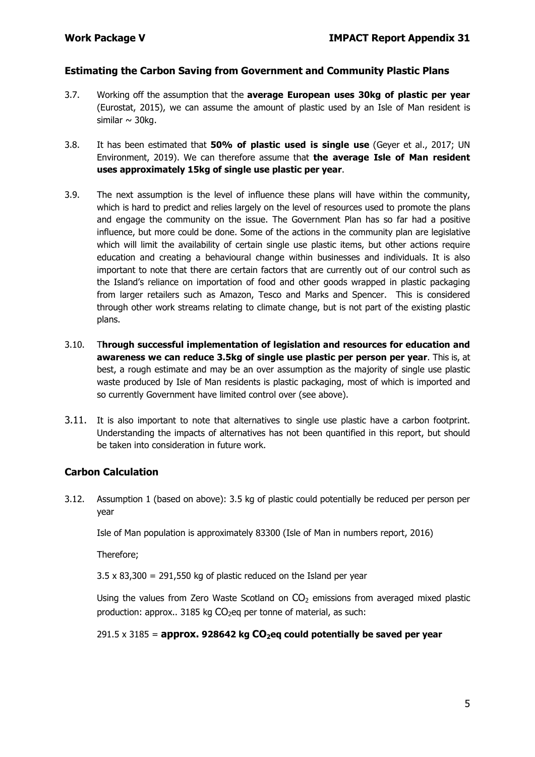#### **Estimating the Carbon Saving from Government and Community Plastic Plans**

- 3.7. Working off the assumption that the **average European uses 30kg of plastic per year** (Eurostat, 2015), we can assume the amount of plastic used by an Isle of Man resident is similar  $\sim$  30kg.
- 3.8. It has been estimated that **50% of plastic used is single use** (Geyer et al., 2017; UN Environment, 2019). We can therefore assume that **the average Isle of Man resident uses approximately 15kg of single use plastic per year**.
- 3.9. The next assumption is the level of influence these plans will have within the community, which is hard to predict and relies largely on the level of resources used to promote the plans and engage the community on the issue. The Government Plan has so far had a positive influence, but more could be done. Some of the actions in the community plan are legislative which will limit the availability of certain single use plastic items, but other actions require education and creating a behavioural change within businesses and individuals. It is also important to note that there are certain factors that are currently out of our control such as the Island's reliance on importation of food and other goods wrapped in plastic packaging from larger retailers such as Amazon, Tesco and Marks and Spencer. This is considered through other work streams relating to climate change, but is not part of the existing plastic plans.
- 3.10. T**hrough successful implementation of legislation and resources for education and awareness we can reduce 3.5kg of single use plastic per person per year**. This is, at best, a rough estimate and may be an over assumption as the majority of single use plastic waste produced by Isle of Man residents is plastic packaging, most of which is imported and so currently Government have limited control over (see above).
- 3.11. It is also important to note that alternatives to single use plastic have a carbon footprint. Understanding the impacts of alternatives has not been quantified in this report, but should be taken into consideration in future work.

#### **Carbon Calculation**

3.12. Assumption 1 (based on above): 3.5 kg of plastic could potentially be reduced per person per year

Isle of Man population is approximately 83300 (Isle of Man in numbers report, 2016)

Therefore;

 $3.5 \times 83.300 = 291.550$  kg of plastic reduced on the Island per year

Using the values from Zero Waste Scotland on  $CO<sub>2</sub>$  emissions from averaged mixed plastic production: approx.. 3185 kg  $CO<sub>2</sub>$ eq per tonne of material, as such:

#### $291.5 \times 3185$  = **approx.** 928642 kg  $CO_2$ eg could potentially be saved per year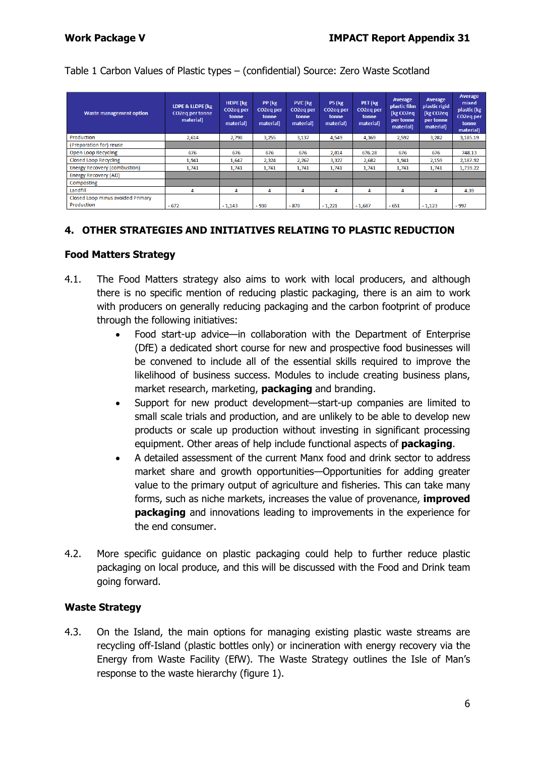#### Table 1 Carbon Values of Plastic types – (confidential) Source: Zero Waste Scotland

| <b>Waste management option</b>                  | LDPE & LLDPE (kg<br><b>CO2eq per tonne</b><br>material) | <b>HDPE</b> (kg<br>CO <sub>2</sub> eq per<br>tonne<br>material) | PP (kg<br>CO2eq per<br>tonne<br>material) | PVC (kg<br>CO2eq per<br>tonne<br>material) | PS (kg<br>CO2eq per<br>tonne<br>material) | PET (kg<br>CO2eq per<br>tonne<br>material) | <b>Average</b><br>plastic film<br>(kg CO2eq<br>per tonne<br>material) | Average<br>plastic rigid<br>(kg CO2eq<br>per tonne<br>material) | Average<br>mixed<br>plastic (kg<br>CO2eq per<br>tonne<br>material) |
|-------------------------------------------------|---------------------------------------------------------|-----------------------------------------------------------------|-------------------------------------------|--------------------------------------------|-------------------------------------------|--------------------------------------------|-----------------------------------------------------------------------|-----------------------------------------------------------------|--------------------------------------------------------------------|
| Production                                      | 2,614                                                   | 2,790                                                           | 3,255                                     | 3,137                                      | 4,549                                     | 4,369                                      | 2,592                                                                 | 3,282                                                           | 3,185.19                                                           |
| (Preparation for) reuse                         |                                                         |                                                                 |                                           |                                            |                                           |                                            |                                                                       |                                                                 |                                                                    |
| Open Loop Recycling                             | 676                                                     | 676                                                             | 676                                       | 676                                        | 2,014                                     | 676.28                                     | 676                                                                   | 676                                                             | 748.13                                                             |
| <b>Closed Loop Recycling</b>                    | 1.941                                                   | 1,647                                                           | 2,324                                     | 2.267                                      | 3.327                                     | 2.682                                      | 1,941                                                                 | 2,159                                                           | 2,187.92                                                           |
| <b>Energy Recovery (combustion)</b>             | 1,741                                                   | 1,741                                                           | 1,741                                     | 1,741                                      | 1,741                                     | 1,741                                      | 1,741                                                                 | 1,741                                                           | 1,739.22                                                           |
| <b>Energy Recovery (AD)</b>                     |                                                         |                                                                 |                                           |                                            |                                           |                                            |                                                                       |                                                                 |                                                                    |
| Composting                                      |                                                         |                                                                 |                                           |                                            |                                           |                                            |                                                                       |                                                                 |                                                                    |
| Landfill                                        | 4                                                       | 4                                                               | 4                                         | 4                                          | 4                                         | 4                                          | 4                                                                     | 4                                                               | 4.39                                                               |
| Closed Loop minus avoided Primary<br>Production | $-672$                                                  | $-1,143$                                                        | $-930$                                    | $-870$                                     | $-1,221$                                  | $-1,687$                                   | $-651$                                                                | $-1,123$                                                        | $-997$                                                             |

### **4. OTHER STRATEGIES AND INITIATIVES RELATING TO PLASTIC REDUCTION**

#### **Food Matters Strategy**

- 4.1. The Food Matters strategy also aims to work with local producers, and although there is no specific mention of reducing plastic packaging, there is an aim to work with producers on generally reducing packaging and the carbon footprint of produce through the following initiatives:
	- Food start-up advice—in collaboration with the Department of Enterprise (DfE) a dedicated short course for new and prospective food businesses will be convened to include all of the essential skills required to improve the likelihood of business success. Modules to include creating business plans, market research, marketing, **packaging** and branding.
	- Support for new product development—start-up companies are limited to small scale trials and production, and are unlikely to be able to develop new products or scale up production without investing in significant processing equipment. Other areas of help include functional aspects of **packaging**.
	- A detailed assessment of the current Manx food and drink sector to address market share and growth opportunities—Opportunities for adding greater value to the primary output of agriculture and fisheries. This can take many forms, such as niche markets, increases the value of provenance, **improved packaging** and innovations leading to improvements in the experience for the end consumer.
- 4.2. More specific guidance on plastic packaging could help to further reduce plastic packaging on local produce, and this will be discussed with the Food and Drink team going forward.

#### **Waste Strategy**

4.3. On the Island, the main options for managing existing plastic waste streams are recycling off-Island (plastic bottles only) or incineration with energy recovery via the Energy from Waste Facility (EfW). The Waste Strategy outlines the Isle of Man's response to the waste hierarchy (figure 1).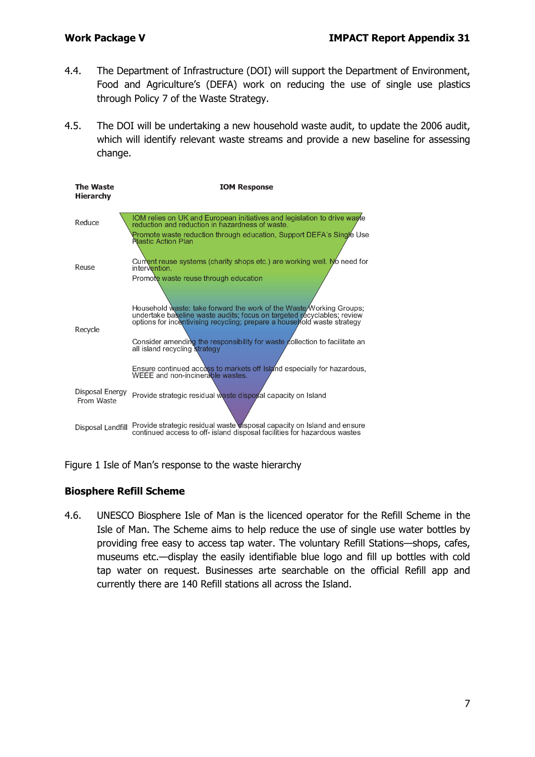- 4.4. The Department of Infrastructure (DOI) will support the Department of Environment, Food and Agriculture's (DEFA) work on reducing the use of single use plastics through Policy 7 of the Waste Strategy.
- 4.5. The DOI will be undertaking a new household waste audit, to update the 2006 audit, which will identify relevant waste streams and provide a new baseline for assessing change.

| The Waste<br>Hierarchy        | <b>IOM Response</b>                                                                                                                                                                                                                                                                                                                                                                                                                                                                              |
|-------------------------------|--------------------------------------------------------------------------------------------------------------------------------------------------------------------------------------------------------------------------------------------------------------------------------------------------------------------------------------------------------------------------------------------------------------------------------------------------------------------------------------------------|
| Reduce                        | IOM relies on UK and European initiatives and legislation to drive was fe<br>reduction and reduction in hazardness of waste.                                                                                                                                                                                                                                                                                                                                                                     |
| Reuse                         | Promote waste reduction through education, Support DEFA's Single Use<br><b>Rlastic Action Plan</b><br>Current reuse systems (charity shops etc.) are working well. No need for<br>intervention.                                                                                                                                                                                                                                                                                                  |
| Recycle                       | Promote waste reuse through education<br>Household waste: take forward the work of the Waste Working Groups;<br>undertake baseline waste audits; focus on targeted recyclables; review<br>options for incentivising recycling; prepare a house fold waste strategy<br>Consider amending the responsibility for waste collection to facilitate an<br>all island recycling strategy<br>Ensure continued access to markets off Island especially for hazardous,<br>WEEE and non-incinerable wastes. |
| Disposal Energy<br>From Waste | Provide strategic residual waste disposal capacity on Island                                                                                                                                                                                                                                                                                                                                                                                                                                     |
| Disposal Landfill             | Provide strategic residual waste visposal capacity on Island and ensure<br>continued access to off- island disposal facilities for hazardous wastes                                                                                                                                                                                                                                                                                                                                              |

Figure 1 Isle of Man's response to the waste hierarchy

#### **Biosphere Refill Scheme**

4.6. UNESCO Biosphere Isle of Man is the licenced operator for the Refill Scheme in the Isle of Man. The Scheme aims to help reduce the use of single use water bottles by providing free easy to access tap water. The voluntary Refill Stations—shops, cafes, museums etc.—display the easily identifiable blue logo and fill up bottles with cold tap water on request. Businesses arte searchable on the official Refill app and currently there are 140 Refill stations all across the Island.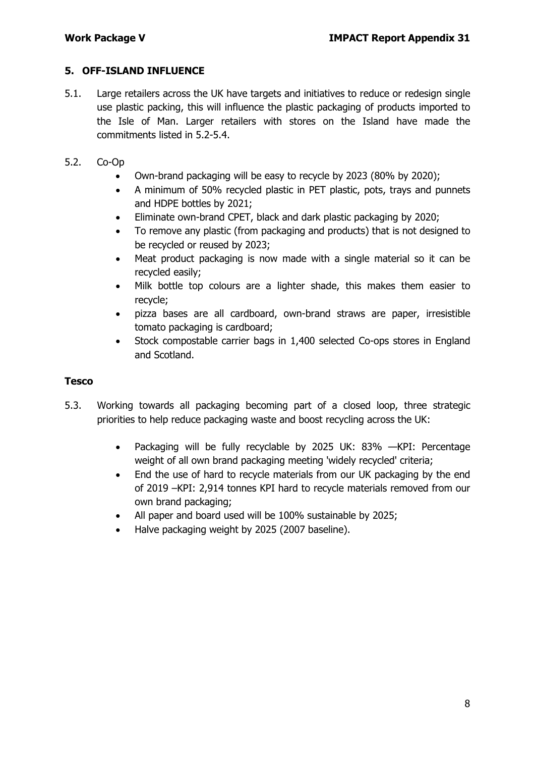#### **5. OFF-ISLAND INFLUENCE**

- 5.1. Large retailers across the UK have targets and initiatives to reduce or redesign single use plastic packing, this will influence the plastic packaging of products imported to the Isle of Man. Larger retailers with stores on the Island have made the commitments listed in 5.2-5.4.
- 5.2. Co-Op
	- Own-brand packaging will be easy to recycle by 2023 (80% by 2020);
	- A minimum of 50% recycled plastic in PET plastic, pots, trays and punnets and HDPE bottles by 2021;
	- Eliminate own-brand CPET, black and dark plastic packaging by 2020;
	- To remove any plastic (from packaging and products) that is not designed to be recycled or reused by 2023;
	- Meat product packaging is now made with a single material so it can be recycled easily;
	- Milk bottle top colours are a lighter shade, this makes them easier to recycle;
	- pizza bases are all cardboard, own-brand straws are paper, irresistible tomato packaging is cardboard;
	- Stock compostable carrier bags in 1,400 selected Co-ops stores in England and Scotland.

#### **Tesco**

- 5.3. Working towards all packaging becoming part of a closed loop, three strategic priorities to help reduce packaging waste and boost recycling across the UK:
	- Packaging will be fully recyclable by 2025 UK: 83% —KPI: Percentage weight of all own brand packaging meeting 'widely recycled' criteria;
	- End the use of hard to recycle materials from our UK packaging by the end of 2019 –KPI: 2,914 tonnes KPI hard to recycle materials removed from our own brand packaging;
	- All paper and board used will be 100% sustainable by 2025;
	- Halve packaging weight by 2025 (2007 baseline).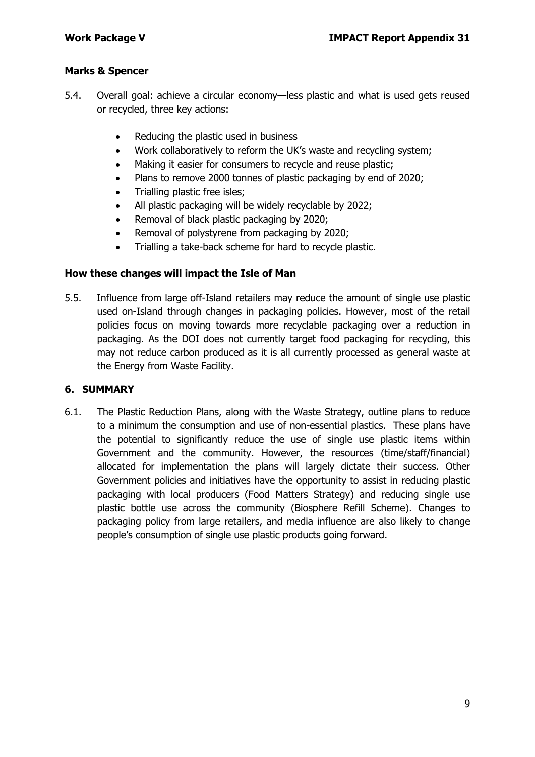#### **Marks & Spencer**

- 5.4. Overall goal: achieve a circular economy—less plastic and what is used gets reused or recycled, three key actions:
	- Reducing the plastic used in business
	- Work collaboratively to reform the UK's waste and recycling system;
	- Making it easier for consumers to recycle and reuse plastic;
	- Plans to remove 2000 tonnes of plastic packaging by end of 2020;
	- Trialling plastic free isles;
	- All plastic packaging will be widely recyclable by 2022;
	- Removal of black plastic packaging by 2020;
	- Removal of polystyrene from packaging by 2020;
	- Trialling a take-back scheme for hard to recycle plastic.

#### **How these changes will impact the Isle of Man**

5.5. Influence from large off-Island retailers may reduce the amount of single use plastic used on-Island through changes in packaging policies. However, most of the retail policies focus on moving towards more recyclable packaging over a reduction in packaging. As the DOI does not currently target food packaging for recycling, this may not reduce carbon produced as it is all currently processed as general waste at the Energy from Waste Facility.

#### **6. SUMMARY**

6.1. The Plastic Reduction Plans, along with the Waste Strategy, outline plans to reduce to a minimum the consumption and use of non-essential plastics. These plans have the potential to significantly reduce the use of single use plastic items within Government and the community. However, the resources (time/staff/financial) allocated for implementation the plans will largely dictate their success. Other Government policies and initiatives have the opportunity to assist in reducing plastic packaging with local producers (Food Matters Strategy) and reducing single use plastic bottle use across the community (Biosphere Refill Scheme). Changes to packaging policy from large retailers, and media influence are also likely to change people's consumption of single use plastic products going forward.